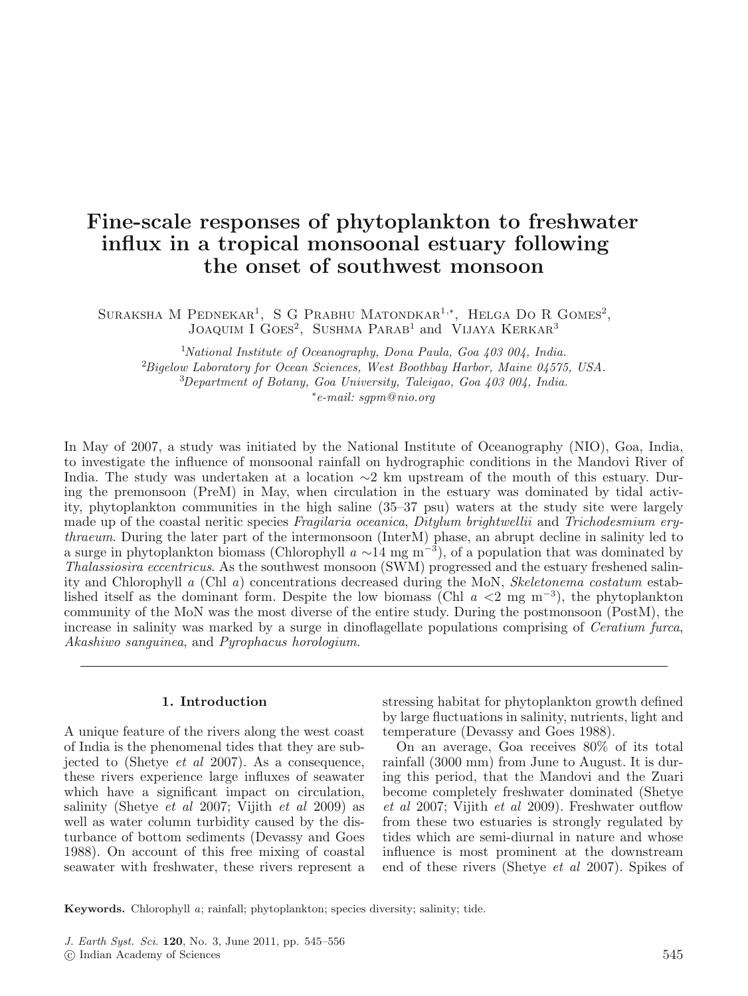# **Fine-scale responses of phytoplankton to freshwater influx in a tropical monsoonal estuary following the onset of southwest monsoon**

SURAKSHA M PEDNEKAR<sup>1</sup>, S G PRABHU MATONDKAR<sup>1,\*</sup>, HELGA DO R GOMES<sup>2</sup>, JOAQUIM I GOES<sup>2</sup>, SUSHMA PARAB<sup>1</sup> and VIJAYA KERKAR<sup>3</sup>

1 National Institute of Oceanography, Dona Paula, Goa 403 004, India. <sup>2</sup>Bigelow Laboratory for Ocean Sciences, West Boothbay Harbor, Maine 04575, USA. 3 Department of Botany, Goa University, Taleigao, Goa 403 004, India. ∗ e-mail: sgpm@nio.org

In May of 2007, a study was initiated by the National Institute of Oceanography (NIO), Goa, India, to investigate the influence of monsoonal rainfall on hydrographic conditions in the Mandovi River of India. The study was undertaken at a location ∼2 km upstream of the mouth of this estuary. During the premonsoon (PreM) in May, when circulation in the estuary was dominated by tidal activity, phytoplankton communities in the high saline (35–37 psu) waters at the study site were largely made up of the coastal neritic species Fragilaria oceanica, Ditylum brightwellii and Trichodesmium erythraeum. During the later part of the intermonsoon (InterM) phase, an abrupt decline in salinity led to a surge in phytoplankton biomass (Chlorophyll  $a \sim 14$  mg m<sup>-3</sup>), of a population that was dominated by Thalassiosira eccentricus. As the southwest monsoon (SWM) progressed and the estuary freshened salinity and Chlorophyll a (Chl a) concentrations decreased during the MoN, Skeletonema costatum established itself as the dominant form. Despite the low biomass (Chl  $a < 2$  mg m<sup>-3</sup>), the phytoplankton community of the MoN was the most diverse of the entire study. During the postmonsoon (PostM), the increase in salinity was marked by a surge in dinoflagellate populations comprising of Ceratium furca, Akashiwo sanguinea, and Pyrophacus horologium.

# **1. Introduction**

A unique feature of the rivers along the west coast of India is the phenomenal tides that they are subjected to (Shetye et al 2007). As a consequence, these rivers experience large influxes of seawater which have a significant impact on circulation, salinity (Shetye et al 2007; Vijith et al 2009) as well as water column turbidity caused by the disturbance of bottom sediments (Devassy and Goes 1988). On account of this free mixing of coastal seawater with freshwater, these rivers represent a stressing habitat for phytoplankton growth defined by large fluctuations in salinity, nutrients, light and temperature (Devassy and Goes 1988).

On an average, Goa receives 80% of its total rainfall (3000 mm) from June to August. It is during this period, that the Mandovi and the Zuari become completely freshwater dominated (Shetye et al 2007; Vijith et al 2009). Freshwater outflow from these two estuaries is strongly regulated by tides which are semi-diurnal in nature and whose influence is most prominent at the downstream end of these rivers (Shetye et al 2007). Spikes of

**Keywords.** Chlorophyll a; rainfall; phytoplankton; species diversity; salinity; tide.

J. Earth Syst. Sci. **120**, No. 3, June 2011, pp. 545–556

<sup>-</sup>c Indian Academy of Sciences 545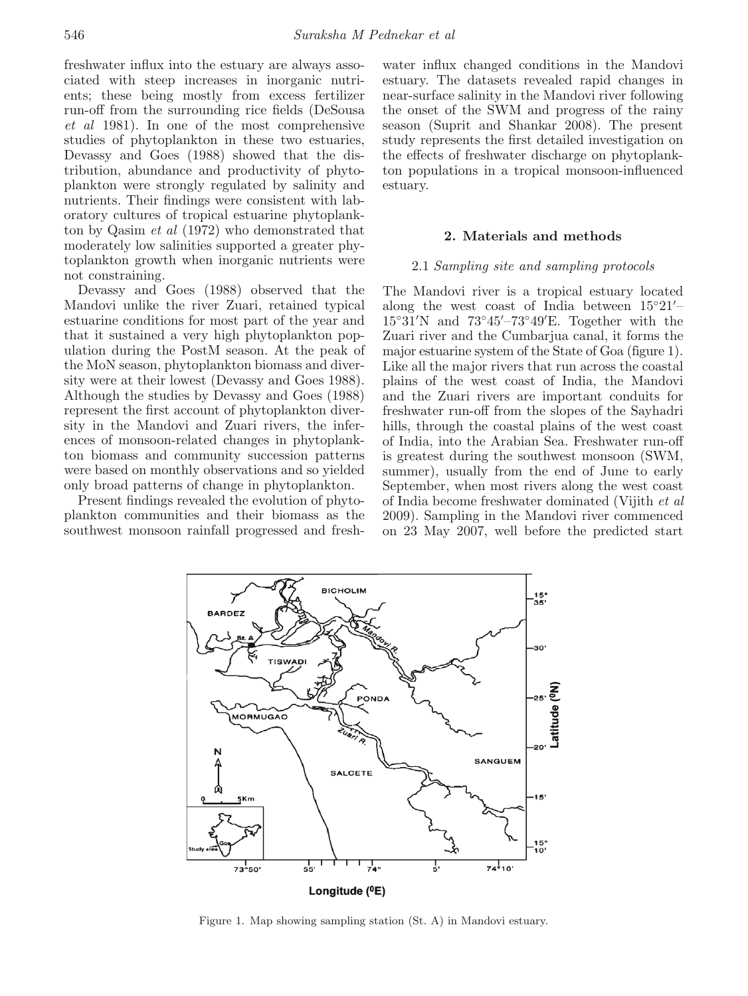freshwater influx into the estuary are always associated with steep increases in inorganic nutrients; these being mostly from excess fertilizer run-off from the surrounding rice fields (DeSousa et al 1981). In one of the most comprehensive studies of phytoplankton in these two estuaries, Devassy and Goes (1988) showed that the distribution, abundance and productivity of phytoplankton were strongly regulated by salinity and nutrients. Their findings were consistent with laboratory cultures of tropical estuarine phytoplankton by Qasim et al (1972) who demonstrated that moderately low salinities supported a greater phytoplankton growth when inorganic nutrients were not constraining.

Devassy and Goes (1988) observed that the Mandovi unlike the river Zuari, retained typical estuarine conditions for most part of the year and that it sustained a very high phytoplankton population during the PostM season. At the peak of the MoN season, phytoplankton biomass and diversity were at their lowest (Devassy and Goes 1988). Although the studies by Devassy and Goes (1988) represent the first account of phytoplankton diversity in the Mandovi and Zuari rivers, the inferences of monsoon-related changes in phytoplankton biomass and community succession patterns were based on monthly observations and so yielded only broad patterns of change in phytoplankton.

Present findings revealed the evolution of phytoplankton communities and their biomass as the southwest monsoon rainfall progressed and fresh-

water influx changed conditions in the Mandovi estuary. The datasets revealed rapid changes in near-surface salinity in the Mandovi river following the onset of the SWM and progress of the rainy season (Suprit and Shankar 2008). The present study represents the first detailed investigation on the effects of freshwater discharge on phytoplankton populations in a tropical monsoon-influenced estuary.

#### **2. Materials and methods**

## 2.1 Sampling site and sampling protocols

The Mandovi river is a tropical estuary located along the west coast of India between  $15°21'$ 15◦31 N and 73◦45 –73◦49 E. Together with the Zuari river and the Cumbarjua canal, it forms the major estuarine system of the State of Goa (figure 1). Like all the major rivers that run across the coastal plains of the west coast of India, the Mandovi and the Zuari rivers are important conduits for freshwater run-off from the slopes of the Sayhadri hills, through the coastal plains of the west coast of India, into the Arabian Sea. Freshwater run-off is greatest during the southwest monsoon (SWM, summer), usually from the end of June to early September, when most rivers along the west coast of India become freshwater dominated (Vijith et al 2009). Sampling in the Mandovi river commenced on 23 May 2007, well before the predicted start



Figure 1. Map showing sampling station (St. A) in Mandovi estuary.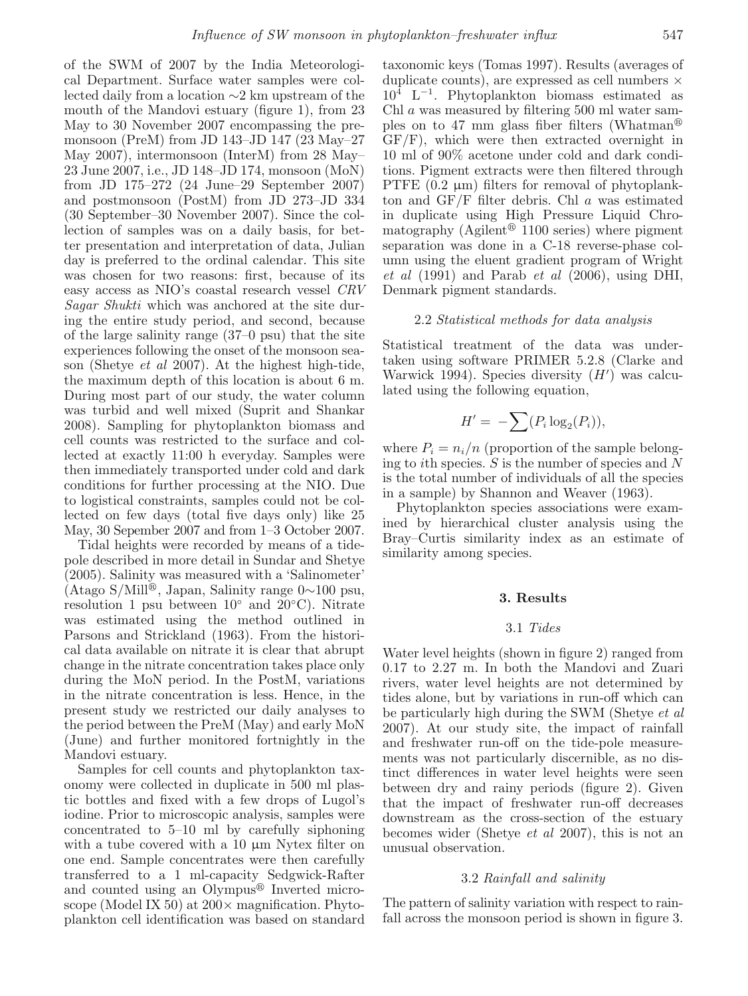of the SWM of 2007 by the India Meteorological Department. Surface water samples were collected daily from a location ∼2 km upstream of the mouth of the Mandovi estuary (figure 1), from 23 May to 30 November 2007 encompassing the premonsoon (PreM) from JD 143–JD 147 (23 May–27 May 2007), intermonsoon (InterM) from 28 May– 23 June 2007, i.e., JD 148–JD 174, monsoon (MoN) from JD 175–272 (24 June–29 September 2007) and postmonsoon (PostM) from JD 273–JD 334 (30 September–30 November 2007). Since the collection of samples was on a daily basis, for better presentation and interpretation of data, Julian day is preferred to the ordinal calendar. This site was chosen for two reasons: first, because of its easy access as NIO's coastal research vessel CRV Sagar Shukti which was anchored at the site during the entire study period, and second, because of the large salinity range (37–0 psu) that the site experiences following the onset of the monsoon season (Shetye et al 2007). At the highest high-tide, the maximum depth of this location is about 6 m. During most part of our study, the water column was turbid and well mixed (Suprit and Shankar 2008). Sampling for phytoplankton biomass and cell counts was restricted to the surface and collected at exactly 11:00 h everyday. Samples were then immediately transported under cold and dark conditions for further processing at the NIO. Due to logistical constraints, samples could not be collected on few days (total five days only) like 25 May, 30 Sepember 2007 and from 1–3 October 2007.

Tidal heights were recorded by means of a tidepole described in more detail in Sundar and Shetye (2005). Salinity was measured with a 'Salinometer' (Atago S/Mill-, Japan, Salinity range 0∼100 psu, resolution 1 psu between  $10°$  and  $20°$ C). Nitrate was estimated using the method outlined in Parsons and Strickland (1963). From the historical data available on nitrate it is clear that abrupt change in the nitrate concentration takes place only during the MoN period. In the PostM, variations in the nitrate concentration is less. Hence, in the present study we restricted our daily analyses to the period between the PreM (May) and early MoN (June) and further monitored fortnightly in the Mandovi estuary.

Samples for cell counts and phytoplankton taxonomy were collected in duplicate in 500 ml plastic bottles and fixed with a few drops of Lugol's iodine. Prior to microscopic analysis, samples were concentrated to 5–10 ml by carefully siphoning with a tube covered with a 10 μm Nytex filter on one end. Sample concentrates were then carefully transferred to a 1 ml-capacity Sedgwick-Rafter and counted using an Olympus<sup>®</sup> Inverted microscope (Model IX 50) at  $200 \times$  magnification. Phytoplankton cell identification was based on standard

taxonomic keys (Tomas 1997). Results (averages of duplicate counts), are expressed as cell numbers  $\times$  $10^4$  L<sup>-1</sup>. Phytoplankton biomass estimated as Chl a was measured by filtering 500 ml water samples on to 47 mm glass fiber filters (Whatman<sup>®</sup> GF/F), which were then extracted overnight in 10 ml of 90% acetone under cold and dark conditions. Pigment extracts were then filtered through PTFE (0.2 μm) filters for removal of phytoplankton and GF/F filter debris. Chl a was estimated in duplicate using High Pressure Liquid Chromatography (Agilent® 1100 series) where pigment separation was done in a C-18 reverse-phase column using the eluent gradient program of Wright  $et \ al \ (1991)$  and Parab  $et \ al \ (2006)$ , using DHI, Denmark pigment standards.

#### 2.2 Statistical methods for data analysis

Statistical treatment of the data was undertaken using software PRIMER 5.2.8 (Clarke and Warwick 1994). Species diversity  $(H')$  was calculated using the following equation,

$$
H' = -\sum (P_i \log_2(P_i)),
$$

where  $P_i = n_i/n$  (proportion of the sample belonging to *i*th species.  $S$  is the number of species and  $N$ is the total number of individuals of all the species in a sample) by Shannon and Weaver (1963).

Phytoplankton species associations were examined by hierarchical cluster analysis using the Bray–Curtis similarity index as an estimate of similarity among species.

## **3. Results**

## 3.1 Tides

Water level heights (shown in figure 2) ranged from 0.17 to 2.27 m. In both the Mandovi and Zuari rivers, water level heights are not determined by tides alone, but by variations in run-off which can be particularly high during the SWM (Shetye et al 2007). At our study site, the impact of rainfall and freshwater run-off on the tide-pole measurements was not particularly discernible, as no distinct differences in water level heights were seen between dry and rainy periods (figure 2). Given that the impact of freshwater run-off decreases downstream as the cross-section of the estuary becomes wider (Shetye et al 2007), this is not an unusual observation.

## 3.2 Rainfall and salinity

The pattern of salinity variation with respect to rainfall across the monsoon period is shown in figure 3.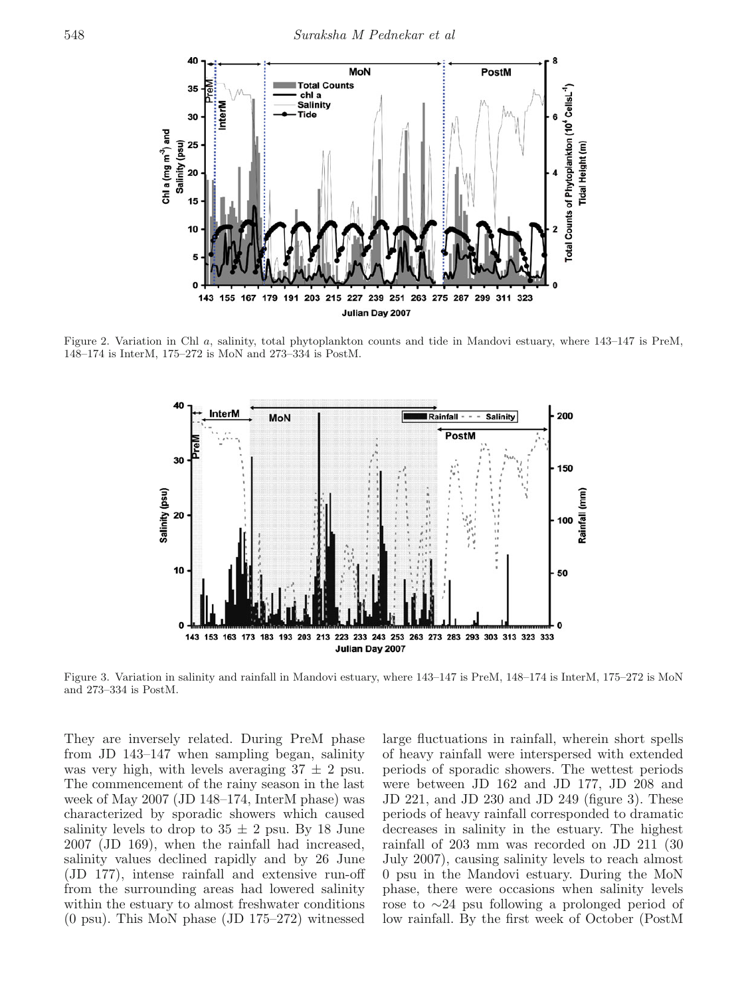

Figure 2. Variation in Chl a, salinity, total phytoplankton counts and tide in Mandovi estuary, where 143–147 is PreM, 148–174 is InterM, 175–272 is MoN and 273–334 is PostM.



Figure 3. Variation in salinity and rainfall in Mandovi estuary, where 143–147 is PreM, 148–174 is InterM, 175–272 is MoN and 273–334 is PostM.

They are inversely related. During PreM phase from JD 143–147 when sampling began, salinity was very high, with levels averaging  $37 \pm 2$  psu. The commencement of the rainy season in the last week of May 2007 (JD 148–174, InterM phase) was characterized by sporadic showers which caused salinity levels to drop to  $35 \pm 2$  psu. By 18 June 2007 (JD 169), when the rainfall had increased, salinity values declined rapidly and by 26 June (JD 177), intense rainfall and extensive run-off from the surrounding areas had lowered salinity within the estuary to almost freshwater conditions (0 psu). This MoN phase (JD 175–272) witnessed

large fluctuations in rainfall, wherein short spells of heavy rainfall were interspersed with extended periods of sporadic showers. The wettest periods were between JD 162 and JD 177, JD 208 and JD 221, and JD 230 and JD 249 (figure 3). These periods of heavy rainfall corresponded to dramatic decreases in salinity in the estuary. The highest rainfall of 203 mm was recorded on JD 211 (30 July 2007), causing salinity levels to reach almost 0 psu in the Mandovi estuary. During the MoN phase, there were occasions when salinity levels rose to ∼24 psu following a prolonged period of low rainfall. By the first week of October (PostM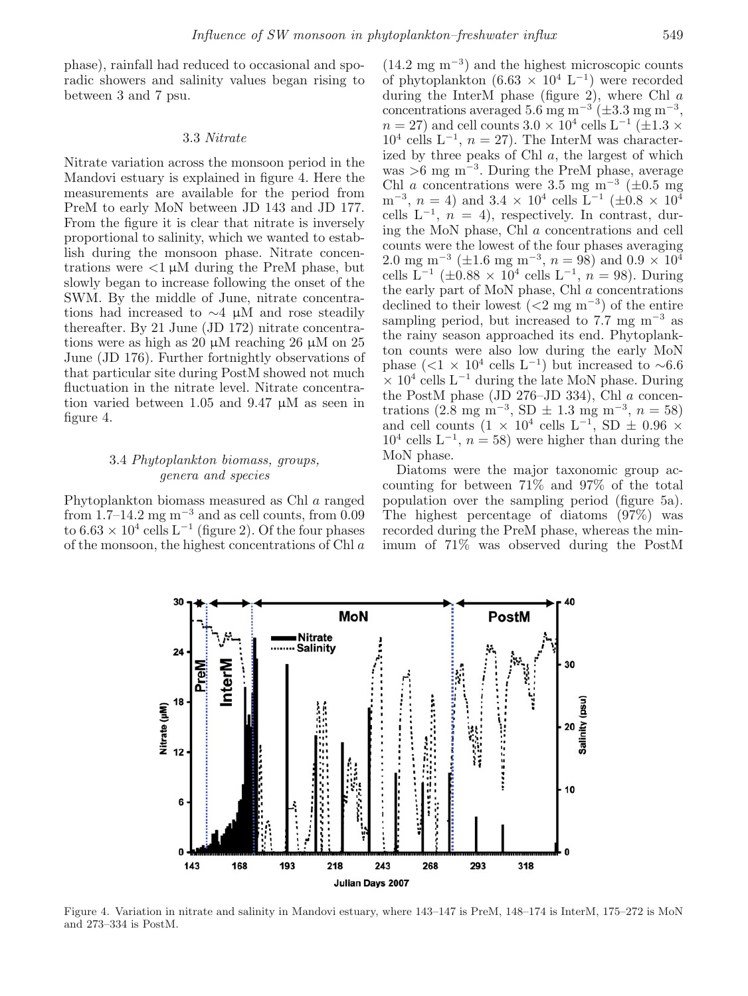phase), rainfall had reduced to occasional and sporadic showers and salinity values began rising to between 3 and 7 psu.

#### 3.3 Nitrate

Nitrate variation across the monsoon period in the Mandovi estuary is explained in figure 4. Here the measurements are available for the period from PreM to early MoN between JD 143 and JD 177. From the figure it is clear that nitrate is inversely proportional to salinity, which we wanted to establish during the monsoon phase. Nitrate concentrations were  $\langle 1 \mu M \rangle$  during the PreM phase, but slowly began to increase following the onset of the SWM. By the middle of June, nitrate concentrations had increased to  $\sim$ 4 μM and rose steadily thereafter. By 21 June (JD 172) nitrate concentrations were as high as 20  $\mu$ M reaching 26  $\mu$ M on 25 June (JD 176). Further fortnightly observations of that particular site during PostM showed not much fluctuation in the nitrate level. Nitrate concentration varied between 1.05 and 9.47 μM as seen in figure 4.

## 3.4 Phytoplankton biomass, groups, genera and species

Phytoplankton biomass measured as Chl a ranged from 1.7–14.2 mg m<sup>-3</sup> and as cell counts, from 0.09 to  $6.63 \times 10^4$  cells L<sup>-1</sup> (figure 2). Of the four phases of the monsoon, the highest concentrations of Chl a

(14.2 mg m<sup>−</sup><sup>3</sup>) and the highest microscopic counts of phytoplankton (6.63 × 10<sup>4</sup> L<sup>-1</sup>) were recorded during the InterM phase (figure 2), where Chl a concentrations averaged 5.6 mg m<sup>-3</sup> ( $\pm$ 3.3 mg m<sup>-3</sup>,  $n = 27$ ) and cell counts  $3.0 \times 10^4$  cells L<sup>-1</sup> ( $\pm 1.3 \times$  $10^4$  cells L<sup>-1</sup>,  $n = 27$ ). The InterM was characterized by three peaks of Chl a, the largest of which was >6 mg m<sup>-3</sup>. During the PreM phase, average Chl a concentrations were 3.5 mg m<sup>-3</sup> (±0.5 mg) m<sup>-3</sup>, n = 4) and 3.4 × 10<sup>4</sup> cells  $\bar{L}^{-1}$  ( $\pm 0.8 \times 10^{4}$ cells  $L^{-1}$ ,  $n = 4$ ), respectively. In contrast, during the MoN phase, Chl a concentrations and cell counts were the lowest of the four phases averaging 2.0 mg m<sup>-3</sup> (±1.6 mg m<sup>-3</sup>, n = 98) and 0.9  $\times$  10<sup>4</sup> cells  $\mathbf{L}^{-1}$  (±0.88 × 10<sup>4</sup> cells  $\mathbf{L}^{-1}$ ,  $n = 98$ ). During the early part of MoN phase, Chl a concentrations declined to their lowest  $( $2 \text{ mg m}^{-3}$ )$  of the entire sampling period, but increased to 7.7 mg  $\mathrm{m}^{-3}$  as the rainy season approached its end. Phytoplankton counts were also low during the early MoN phase (<1 × 10<sup>4</sup> cells L<sup>−1</sup>) but increased to  $\sim 6.6$  $\times$  10<sup>4</sup> cells L<sup>-1</sup> during the late MoN phase. During the PostM phase (JD 276–JD 334), Chl a concentrations (2.8 mg m<sup>-3</sup>, SD  $\pm$  1.3 mg m<sup>-3</sup>, n = 58) and cell counts  $(1 \times 10^4 \text{ cells } L^{-1}, SD \pm 0.96 \times$  $10^4$  cells L<sup>-1</sup>,  $n = 58$ ) were higher than during the MoN phase.

Diatoms were the major taxonomic group accounting for between 71% and 97% of the total population over the sampling period (figure 5a). The highest percentage of diatoms (97%) was recorded during the PreM phase, whereas the minimum of 71% was observed during the PostM



Figure 4. Variation in nitrate and salinity in Mandovi estuary, where 143–147 is PreM, 148–174 is InterM, 175–272 is MoN and 273–334 is PostM.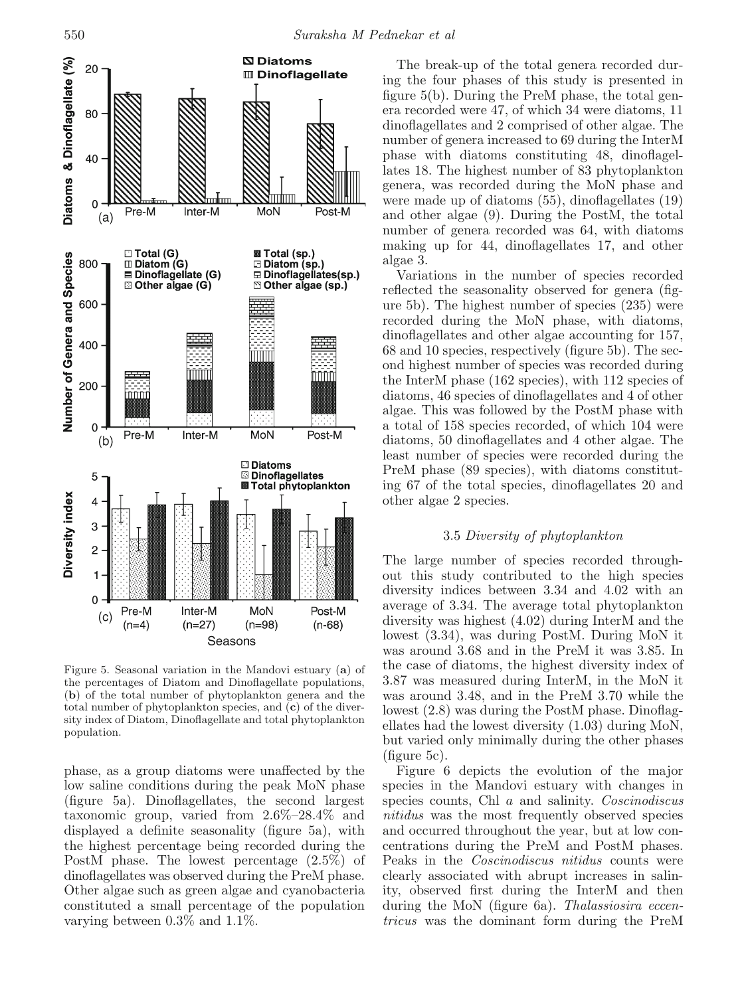

Figure 5. Seasonal variation in the Mandovi estuary (**a**) of the percentages of Diatom and Dinoflagellate populations, (**b**) of the total number of phytoplankton genera and the total number of phytoplankton species, and (**c**) of the diversity index of Diatom, Dinoflagellate and total phytoplankton population.

phase, as a group diatoms were unaffected by the low saline conditions during the peak MoN phase (figure 5a). Dinoflagellates, the second largest taxonomic group, varied from  $2.6\%$ -28.4\% and displayed a definite seasonality (figure 5a), with the highest percentage being recorded during the PostM phase. The lowest percentage (2.5%) of dinoflagellates was observed during the PreM phase. Other algae such as green algae and cyanobacteria constituted a small percentage of the population varying between 0.3% and 1.1%.

The break-up of the total genera recorded during the four phases of this study is presented in figure 5(b). During the PreM phase, the total genera recorded were 47, of which 34 were diatoms, 11 dinoflagellates and 2 comprised of other algae. The number of genera increased to 69 during the InterM phase with diatoms constituting 48, dinoflagellates 18. The highest number of 83 phytoplankton genera, was recorded during the MoN phase and were made up of diatoms (55), dinoflagellates (19) and other algae (9). During the PostM, the total number of genera recorded was 64, with diatoms making up for 44, dinoflagellates 17, and other algae 3.

Variations in the number of species recorded reflected the seasonality observed for genera (figure 5b). The highest number of species (235) were recorded during the MoN phase, with diatoms, dinoflagellates and other algae accounting for 157, 68 and 10 species, respectively (figure 5b). The second highest number of species was recorded during the InterM phase (162 species), with 112 species of diatoms, 46 species of dinoflagellates and 4 of other algae. This was followed by the PostM phase with a total of 158 species recorded, of which 104 were diatoms, 50 dinoflagellates and 4 other algae. The least number of species were recorded during the PreM phase (89 species), with diatoms constituting 67 of the total species, dinoflagellates 20 and other algae 2 species.

## 3.5 Diversity of phytoplankton

The large number of species recorded throughout this study contributed to the high species diversity indices between 3.34 and 4.02 with an average of 3.34. The average total phytoplankton diversity was highest (4.02) during InterM and the lowest (3.34), was during PostM. During MoN it was around 3.68 and in the PreM it was 3.85. In the case of diatoms, the highest diversity index of 3.87 was measured during InterM, in the MoN it was around 3.48, and in the PreM 3.70 while the lowest (2.8) was during the PostM phase. Dinoflagellates had the lowest diversity (1.03) during MoN, but varied only minimally during the other phases (figure 5c).

Figure 6 depicts the evolution of the major species in the Mandovi estuary with changes in species counts, Chl a and salinity. Coscinodiscus nitidus was the most frequently observed species and occurred throughout the year, but at low concentrations during the PreM and PostM phases. Peaks in the Coscinodiscus nitidus counts were clearly associated with abrupt increases in salinity, observed first during the InterM and then during the MoN (figure 6a). *Thalassiosira eccen*tricus was the dominant form during the PreM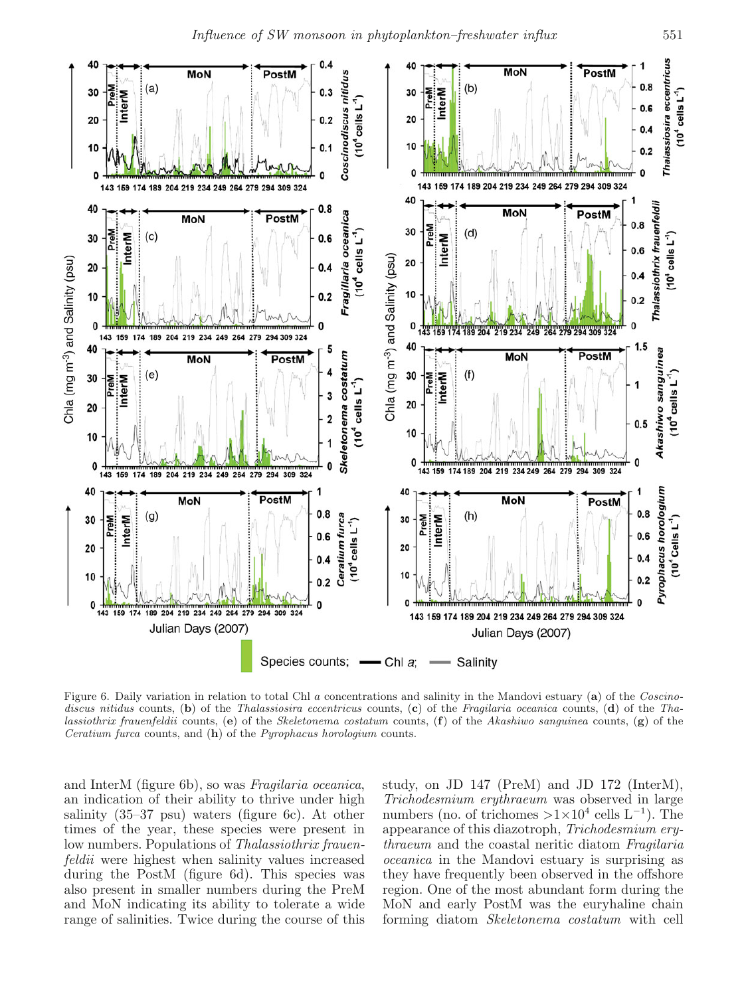

Figure 6. Daily variation in relation to total Chl a concentrations and salinity in the Mandovi estuary (**a**) of the Coscinodiscus nitidus counts, (**b**) of the Thalassiosira eccentricus counts, (**c**) of the Fragilaria oceanica counts, (**d**) of the Thalassiothrix frauenfeldii counts, (**e**) of the Skeletonema costatum counts, (**f** ) of the Akashiwo sanguinea counts, (**g**) of the Ceratium furca counts, and (**h**) of the Pyrophacus horologium counts.

and InterM (figure 6b), so was Fragilaria oceanica, an indication of their ability to thrive under high salinity (35–37 psu) waters (figure 6c). At other times of the year, these species were present in low numbers. Populations of Thalassiothrix frauenfeldii were highest when salinity values increased during the PostM (figure 6d). This species was also present in smaller numbers during the PreM and MoN indicating its ability to tolerate a wide range of salinities. Twice during the course of this study, on JD 147 (PreM) and JD 172 (InterM), Trichodesmium erythraeum was observed in large numbers (no. of trichomes  $>1\times10^4$  cells L<sup>-1</sup>). The appearance of this diazotroph, Trichodesmium erythraeum and the coastal neritic diatom Fragilaria oceanica in the Mandovi estuary is surprising as they have frequently been observed in the offshore region. One of the most abundant form during the MoN and early PostM was the euryhaline chain forming diatom Skeletonema costatum with cell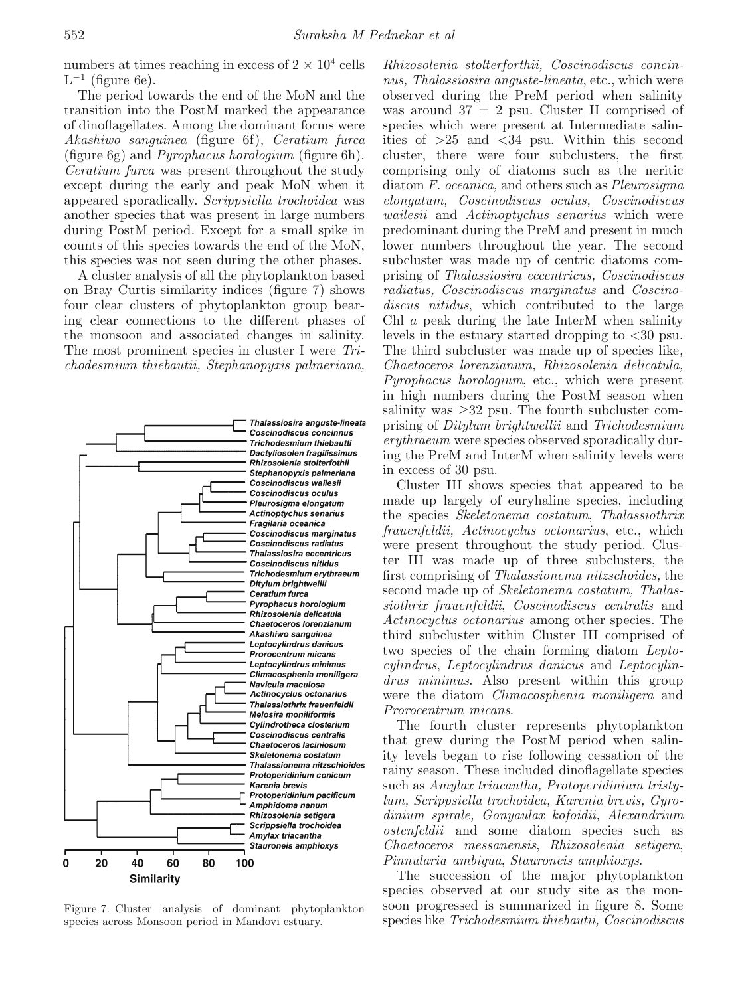numbers at times reaching in excess of  $2 \times 10^4$  cells  $L^{-1}$  (figure 6e).

The period towards the end of the MoN and the transition into the PostM marked the appearance of dinoflagellates. Among the dominant forms were Akashiwo sanguinea (figure 6f), Ceratium furca (figure  $6g$ ) and *Pyrophacus horologium* (figure  $6h$ ). Ceratium furca was present throughout the study except during the early and peak MoN when it appeared sporadically. Scrippsiella trochoidea was another species that was present in large numbers during PostM period. Except for a small spike in counts of this species towards the end of the MoN, this species was not seen during the other phases.

A cluster analysis of all the phytoplankton based on Bray Curtis similarity indices (figure 7) shows four clear clusters of phytoplankton group bearing clear connections to the different phases of the monsoon and associated changes in salinity. The most prominent species in cluster I were Trichodesmium thiebautii, Stephanopyxis palmeriana,



Figure 7. Cluster analysis of dominant phytoplankton species across Monsoon period in Mandovi estuary.

Rhizosolenia stolterforthii, Coscinodiscus concinnus, Thalassiosira anguste-lineata, etc., which were observed during the PreM period when salinity was around  $37 \pm 2$  psu. Cluster II comprised of species which were present at Intermediate salinities of >25 and <34 psu. Within this second cluster, there were four subclusters, the first comprising only of diatoms such as the neritic diatom F. oceanica, and others such as Pleurosigma elongatum, Coscinodiscus oculus, Coscinodiscus wailesii and Actinoptychus senarius which were predominant during the PreM and present in much lower numbers throughout the year. The second subcluster was made up of centric diatoms comprising of Thalassiosira eccentricus, Coscinodiscus radiatus, Coscinodiscus marginatus and Coscinodiscus nitidus, which contributed to the large Chl a peak during the late InterM when salinity levels in the estuary started dropping to  $\langle 30 \rangle$  psu. The third subcluster was made up of species like, Chaetoceros lorenzianum, Rhizosolenia delicatula, Pyrophacus horologium, etc., which were present in high numbers during the PostM season when salinity was  $\geq$ 32 psu. The fourth subcluster comprising of Ditylum brightwellii and Trichodesmium erythraeum were species observed sporadically during the PreM and InterM when salinity levels were in excess of 30 psu.

Cluster III shows species that appeared to be made up largely of euryhaline species, including the species Skeletonema costatum, Thalassiothrix frauenfeldii, Actinocyclus octonarius, etc., which were present throughout the study period. Cluster III was made up of three subclusters, the first comprising of Thalassionema nitzschoides, the second made up of Skeletonema costatum, Thalassiothrix frauenfeldii, Coscinodiscus centralis and Actinocyclus octonarius among other species. The third subcluster within Cluster III comprised of two species of the chain forming diatom Leptocylindrus, Leptocylindrus danicus and Leptocylindrus minimus. Also present within this group were the diatom Climacosphenia moniligera and Prorocentrum micans.

The fourth cluster represents phytoplankton that grew during the PostM period when salinity levels began to rise following cessation of the rainy season. These included dinoflagellate species such as Amylax triacantha, Protoperidinium tristylum, Scrippsiella trochoidea, Karenia brevis, Gyrodinium spirale, Gonyaulax kofoidii, Alexandrium ostenfeldii and some diatom species such as Chaetoceros messanensis, Rhizosolenia setigera, Pinnularia ambigua, Stauroneis amphioxys.

The succession of the major phytoplankton species observed at our study site as the monsoon progressed is summarized in figure 8. Some species like Trichodesmium thiebautii, Coscinodiscus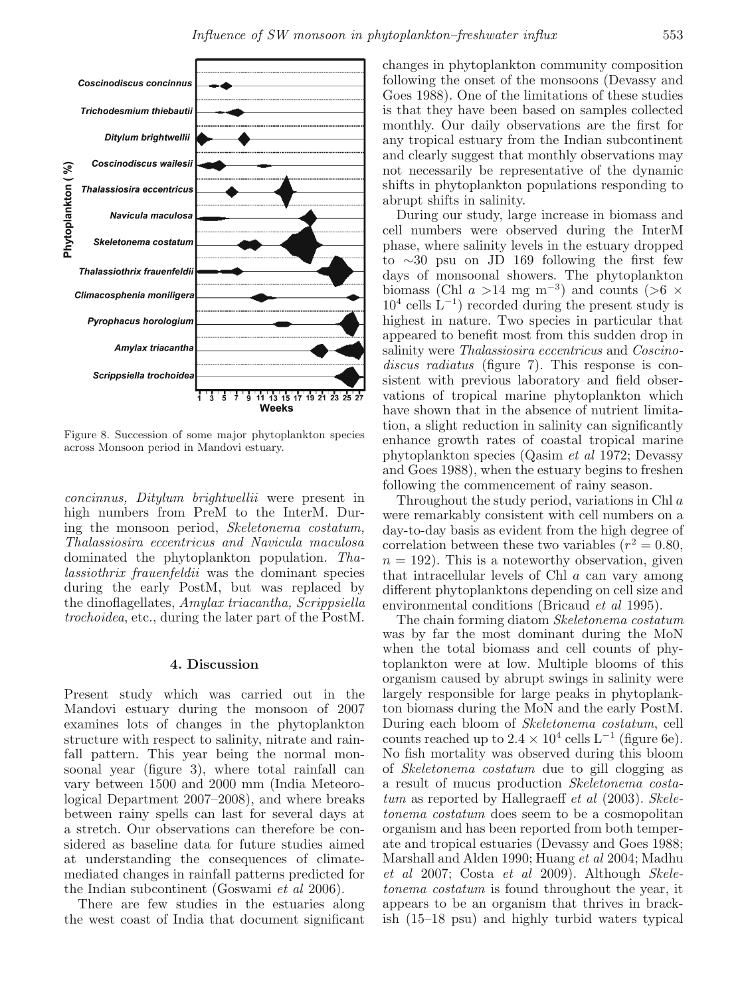

Figure 8. Succession of some major phytoplankton species across Monsoon period in Mandovi estuary.

concinnus, Ditylum brightwellii were present in high numbers from PreM to the InterM. During the monsoon period, Skeletonema costatum, Thalassiosira eccentricus and Navicula maculosa dominated the phytoplankton population. Thalassiothrix frauenfeldii was the dominant species during the early PostM, but was replaced by the dinoflagellates, Amylax triacantha, Scrippsiella trochoidea, etc., during the later part of the PostM.

## **4. Discussion**

Present study which was carried out in the Mandovi estuary during the monsoon of 2007 examines lots of changes in the phytoplankton structure with respect to salinity, nitrate and rainfall pattern. This year being the normal monsoonal year (figure 3), where total rainfall can vary between 1500 and 2000 mm (India Meteorological Department 2007–2008), and where breaks between rainy spells can last for several days at a stretch. Our observations can therefore be considered as baseline data for future studies aimed at understanding the consequences of climatemediated changes in rainfall patterns predicted for the Indian subcontinent (Goswami et al 2006).

There are few studies in the estuaries along the west coast of India that document significant changes in phytoplankton community composition following the onset of the monsoons (Devassy and Goes 1988). One of the limitations of these studies is that they have been based on samples collected monthly. Our daily observations are the first for any tropical estuary from the Indian subcontinent and clearly suggest that monthly observations may not necessarily be representative of the dynamic shifts in phytoplankton populations responding to abrupt shifts in salinity.

During our study, large increase in biomass and cell numbers were observed during the InterM phase, where salinity levels in the estuary dropped to ∼30 psu on JD 169 following the first few days of monsoonal showers. The phytoplankton biomass (Chl  $a > 14$  mg m<sup>-3</sup>) and counts (>6  $\times$  $10<sup>4</sup>$  cells L<sup>-1</sup>) recorded during the present study is highest in nature. Two species in particular that appeared to benefit most from this sudden drop in salinity were *Thalassiosira eccentricus* and *Coscino*discus radiatus (figure 7). This response is consistent with previous laboratory and field observations of tropical marine phytoplankton which have shown that in the absence of nutrient limitation, a slight reduction in salinity can significantly enhance growth rates of coastal tropical marine phytoplankton species (Qasim et al 1972; Devassy and Goes 1988), when the estuary begins to freshen following the commencement of rainy season.

Throughout the study period, variations in Chl a were remarkably consistent with cell numbers on a day-to-day basis as evident from the high degree of correlation between these two variables ( $r^2 = 0.80$ ,  $n = 192$ ). This is a noteworthy observation, given that intracellular levels of Chl a can vary among different phytoplanktons depending on cell size and environmental conditions (Bricaud et al 1995).

The chain forming diatom Skeletonema costatum was by far the most dominant during the MoN when the total biomass and cell counts of phytoplankton were at low. Multiple blooms of this organism caused by abrupt swings in salinity were largely responsible for large peaks in phytoplankton biomass during the MoN and the early PostM. During each bloom of Skeletonema costatum, cell counts reached up to  $2.4 \times 10^4$  cells L<sup>-1</sup> (figure 6e). No fish mortality was observed during this bloom of Skeletonema costatum due to gill clogging as a result of mucus production Skeletonema costa $tum$  as reported by Hallegraeff *et al*  $(2003)$ . *Skele*tonema costatum does seem to be a cosmopolitan organism and has been reported from both temperate and tropical estuaries (Devassy and Goes 1988; Marshall and Alden 1990; Huang et al 2004; Madhu et al 2007; Costa et al 2009). Although Skeletonema costatum is found throughout the year, it appears to be an organism that thrives in brackish (15–18 psu) and highly turbid waters typical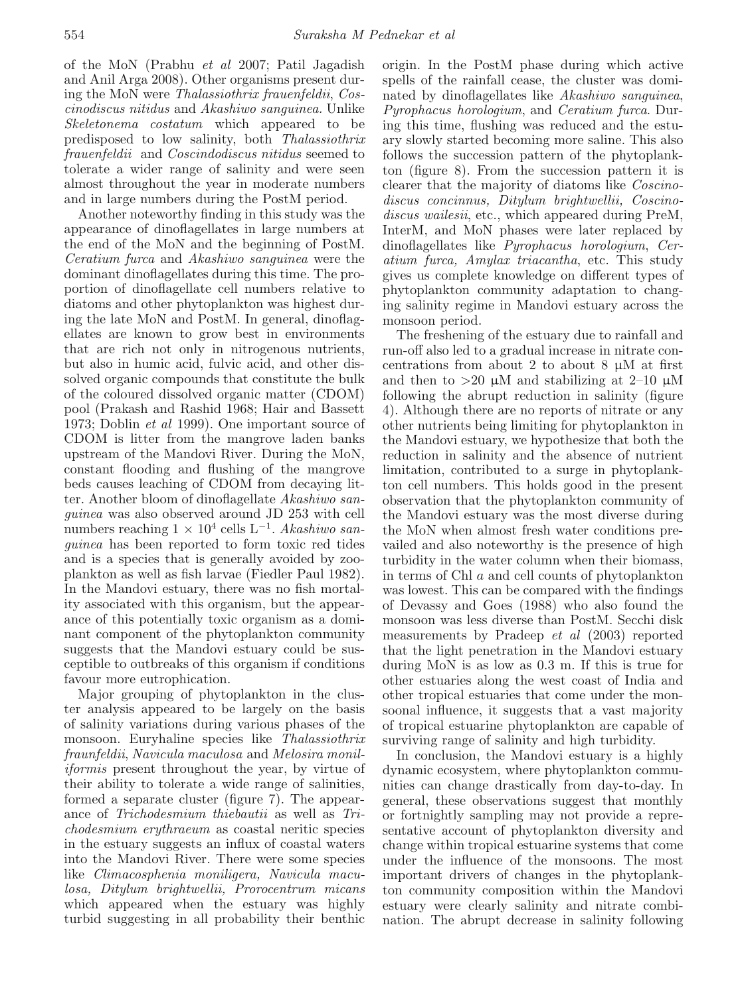of the MoN (Prabhu et al 2007; Patil Jagadish and Anil Arga 2008). Other organisms present during the MoN were Thalassiothrix frauenfeldii, Coscinodiscus nitidus and Akashiwo sanguinea. Unlike Skeletonema costatum which appeared to be predisposed to low salinity, both Thalassiothrix frauenfeldii and Coscindodiscus nitidus seemed to tolerate a wider range of salinity and were seen almost throughout the year in moderate numbers and in large numbers during the PostM period.

Another noteworthy finding in this study was the appearance of dinoflagellates in large numbers at the end of the MoN and the beginning of PostM. Ceratium furca and Akashiwo sanguinea were the dominant dinoflagellates during this time. The proportion of dinoflagellate cell numbers relative to diatoms and other phytoplankton was highest during the late MoN and PostM. In general, dinoflagellates are known to grow best in environments that are rich not only in nitrogenous nutrients, but also in humic acid, fulvic acid, and other dissolved organic compounds that constitute the bulk of the coloured dissolved organic matter (CDOM) pool (Prakash and Rashid 1968; Hair and Bassett 1973; Doblin et al 1999). One important source of CDOM is litter from the mangrove laden banks upstream of the Mandovi River. During the MoN, constant flooding and flushing of the mangrove beds causes leaching of CDOM from decaying litter. Another bloom of dinoflagellate Akashiwo sanguinea was also observed around JD 253 with cell numbers reaching  $1 \times 10^4$  cells L<sup>-1</sup>. Akashiwo sanguinea has been reported to form toxic red tides and is a species that is generally avoided by zooplankton as well as fish larvae (Fiedler Paul 1982). In the Mandovi estuary, there was no fish mortality associated with this organism, but the appearance of this potentially toxic organism as a dominant component of the phytoplankton community suggests that the Mandovi estuary could be susceptible to outbreaks of this organism if conditions favour more eutrophication.

Major grouping of phytoplankton in the cluster analysis appeared to be largely on the basis of salinity variations during various phases of the monsoon. Euryhaline species like Thalassiothrix fraunfeldii, Navicula maculosa and Melosira moniliformis present throughout the year, by virtue of their ability to tolerate a wide range of salinities, formed a separate cluster (figure 7). The appearance of Trichodesmium thiebautii as well as Trichodesmium erythraeum as coastal neritic species in the estuary suggests an influx of coastal waters into the Mandovi River. There were some species like Climacosphenia moniligera, Navicula maculosa, Ditylum brightwellii, Prorocentrum micans which appeared when the estuary was highly turbid suggesting in all probability their benthic origin. In the PostM phase during which active spells of the rainfall cease, the cluster was dominated by dinoflagellates like Akashiwo sanguinea, Pyrophacus horologium, and Ceratium furca. During this time, flushing was reduced and the estuary slowly started becoming more saline. This also follows the succession pattern of the phytoplankton (figure 8). From the succession pattern it is clearer that the majority of diatoms like Coscinodiscus concinnus, Ditylum brightwellii, Coscinodiscus wailesii, etc., which appeared during PreM, InterM, and MoN phases were later replaced by dinoflagellates like Pyrophacus horologium, Ceratium furca, Amylax triacantha, etc. This study gives us complete knowledge on different types of phytoplankton community adaptation to changing salinity regime in Mandovi estuary across the monsoon period.

The freshening of the estuary due to rainfall and run-off also led to a gradual increase in nitrate concentrations from about 2 to about 8  $\mu$ M at first and then to  $>20 \mu M$  and stabilizing at 2–10  $\mu M$ following the abrupt reduction in salinity (figure 4). Although there are no reports of nitrate or any other nutrients being limiting for phytoplankton in the Mandovi estuary, we hypothesize that both the reduction in salinity and the absence of nutrient limitation, contributed to a surge in phytoplankton cell numbers. This holds good in the present observation that the phytoplankton community of the Mandovi estuary was the most diverse during the MoN when almost fresh water conditions prevailed and also noteworthy is the presence of high turbidity in the water column when their biomass, in terms of Chl a and cell counts of phytoplankton was lowest. This can be compared with the findings of Devassy and Goes (1988) who also found the monsoon was less diverse than PostM. Secchi disk measurements by Pradeep et al (2003) reported that the light penetration in the Mandovi estuary during MoN is as low as 0.3 m. If this is true for other estuaries along the west coast of India and other tropical estuaries that come under the monsoonal influence, it suggests that a vast majority of tropical estuarine phytoplankton are capable of surviving range of salinity and high turbidity.

In conclusion, the Mandovi estuary is a highly dynamic ecosystem, where phytoplankton communities can change drastically from day-to-day. In general, these observations suggest that monthly or fortnightly sampling may not provide a representative account of phytoplankton diversity and change within tropical estuarine systems that come under the influence of the monsoons. The most important drivers of changes in the phytoplankton community composition within the Mandovi estuary were clearly salinity and nitrate combination. The abrupt decrease in salinity following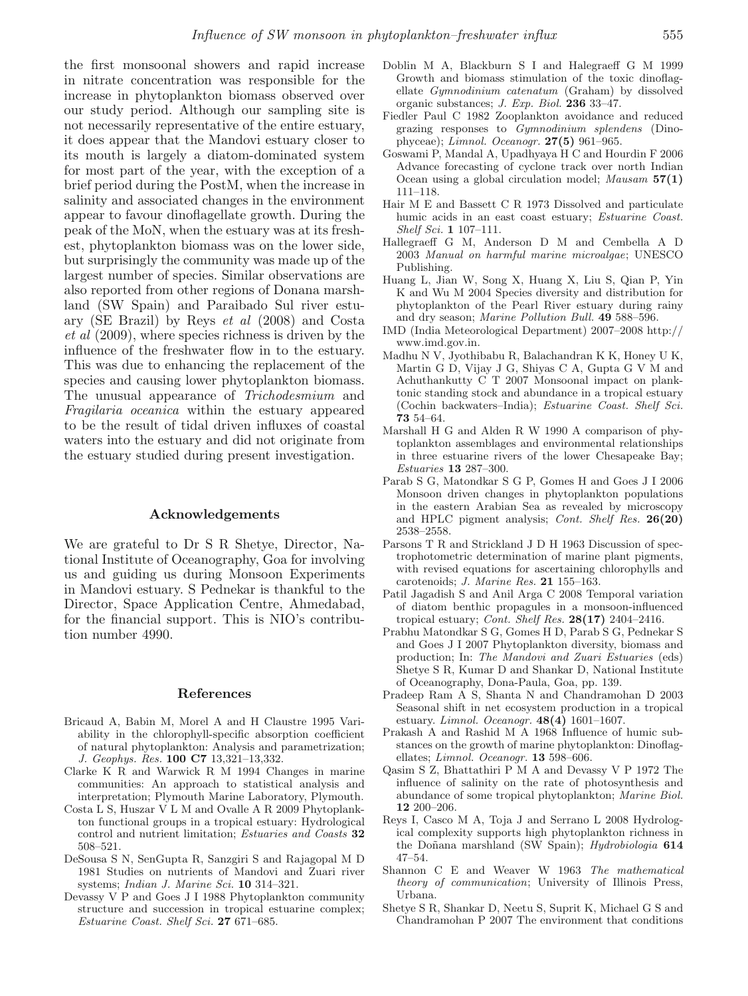the first monsoonal showers and rapid increase in nitrate concentration was responsible for the increase in phytoplankton biomass observed over our study period. Although our sampling site is not necessarily representative of the entire estuary, it does appear that the Mandovi estuary closer to its mouth is largely a diatom-dominated system for most part of the year, with the exception of a brief period during the PostM, when the increase in salinity and associated changes in the environment appear to favour dinoflagellate growth. During the peak of the MoN, when the estuary was at its freshest, phytoplankton biomass was on the lower side, but surprisingly the community was made up of the largest number of species. Similar observations are also reported from other regions of Donana marshland (SW Spain) and Paraibado Sul river estuary (SE Brazil) by Reys et al (2008) and Costa et al (2009), where species richness is driven by the influence of the freshwater flow in to the estuary. This was due to enhancing the replacement of the species and causing lower phytoplankton biomass. The unusual appearance of Trichodesmium and Fragilaria oceanica within the estuary appeared to be the result of tidal driven influxes of coastal waters into the estuary and did not originate from the estuary studied during present investigation.

## **Acknowledgements**

We are grateful to Dr S R Shetye, Director, National Institute of Oceanography, Goa for involving us and guiding us during Monsoon Experiments in Mandovi estuary. S Pednekar is thankful to the Director, Space Application Centre, Ahmedabad, for the financial support. This is NIO's contribution number 4990.

#### **References**

- Bricaud A, Babin M, Morel A and H Claustre 1995 Variability in the chlorophyll-specific absorption coefficient of natural phytoplankton: Analysis and parametrization; J. Geophys. Res. **100 C7** 13,321–13,332.
- Clarke K R and Warwick R M 1994 Changes in marine communities: An approach to statistical analysis and interpretation; Plymouth Marine Laboratory, Plymouth.
- Costa L S, Huszar V L M and Ovalle A R 2009 Phytoplankton functional groups in a tropical estuary: Hydrological control and nutrient limitation; Estuaries and Coasts **32** 508–521.
- DeSousa S N, SenGupta R, Sanzgiri S and Rajagopal M D 1981 Studies on nutrients of Mandovi and Zuari river systems; Indian J. Marine Sci. **10** 314–321.
- Devassy V P and Goes J I 1988 Phytoplankton community structure and succession in tropical estuarine complex; Estuarine Coast. Shelf Sci. **27** 671–685.
- Doblin M A, Blackburn S I and Halegraeff G M 1999 Growth and biomass stimulation of the toxic dinoflagellate Gymnodinium catenatum (Graham) by dissolved organic substances; J. Exp. Biol. **236** 33–47.
- Fiedler Paul C 1982 Zooplankton avoidance and reduced grazing responses to Gymnodinium splendens (Dinophyceae); Limnol. Oceanogr. **27(5)** 961–965.
- Goswami P, Mandal A, Upadhyaya H C and Hourdin F 2006 Advance forecasting of cyclone track over north Indian Ocean using a global circulation model; Mausam **57(1)** 111–118.
- Hair M E and Bassett C R 1973 Dissolved and particulate humic acids in an east coast estuary; Estuarine Coast. Shelf Sci. **1** 107–111.
- Hallegraeff G M, Anderson D M and Cembella A D 2003 Manual on harmful marine microalgae; UNESCO Publishing.
- Huang L, Jian W, Song X, Huang X, Liu S, Qian P, Yin K and Wu M 2004 Species diversity and distribution for phytoplankton of the Pearl River estuary during rainy and dry season; Marine Pollution Bull. **49** 588–596.
- IMD (India Meteorological Department) 2007–2008 http:// www.imd.gov.in.
- Madhu N V, Jyothibabu R, Balachandran K K, Honey U K, Martin G D, Vijay J G, Shiyas C A, Gupta G V M and Achuthankutty C T 2007 Monsoonal impact on planktonic standing stock and abundance in a tropical estuary (Cochin backwaters–India); Estuarine Coast. Shelf Sci. **73** 54–64.
- Marshall H G and Alden R W 1990 A comparison of phytoplankton assemblages and environmental relationships in three estuarine rivers of the lower Chesapeake Bay; Estuaries **13** 287–300.
- Parab S G, Matondkar S G P, Gomes H and Goes J I 2006 Monsoon driven changes in phytoplankton populations in the eastern Arabian Sea as revealed by microscopy and HPLC pigment analysis; Cont. Shelf Res. **26(20)** 2538–2558.
- Parsons T R and Strickland J D H 1963 Discussion of spectrophotometric determination of marine plant pigments, with revised equations for ascertaining chlorophylls and carotenoids; J. Marine Res. **21** 155–163.
- Patil Jagadish S and Anil Arga C 2008 Temporal variation of diatom benthic propagules in a monsoon-influenced tropical estuary; Cont. Shelf Res. **28(17)** 2404–2416.
- Prabhu Matondkar S G, Gomes H D, Parab S G, Pednekar S and Goes J I 2007 Phytoplankton diversity, biomass and production; In: The Mandovi and Zuari Estuaries (eds) Shetye S R, Kumar D and Shankar D, National Institute of Oceanography, Dona-Paula, Goa, pp. 139.
- Pradeep Ram A S, Shanta N and Chandramohan D 2003 Seasonal shift in net ecosystem production in a tropical estuary. Limnol. Oceanogr. **48(4)** 1601–1607.
- Prakash A and Rashid M A 1968 Influence of humic substances on the growth of marine phytoplankton: Dinoflagellates; Limnol. Oceanogr. **13** 598–606.
- Qasim S Z, Bhattathiri P M A and Devassy V P 1972 The influence of salinity on the rate of photosynthesis and abundance of some tropical phytoplankton; Marine Biol. **12** 200–206.
- Reys I, Casco M A, Toja J and Serrano L 2008 Hydrological complexity supports high phytoplankton richness in the Do˜nana marshland (SW Spain); Hydrobiologia **614** 47–54.
- Shannon C E and Weaver W 1963 The mathematical theory of communication; University of Illinois Press, Urbana.
- Shetye S R, Shankar D, Neetu S, Suprit K, Michael G S and Chandramohan P 2007 The environment that conditions